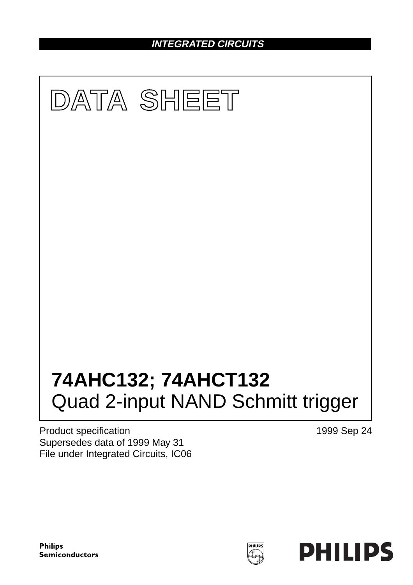**INTEGRATED CIRCUITS**



Product specification Supersedes data of 1999 May 31 File under Integrated Circuits, IC06 1999 Sep 24

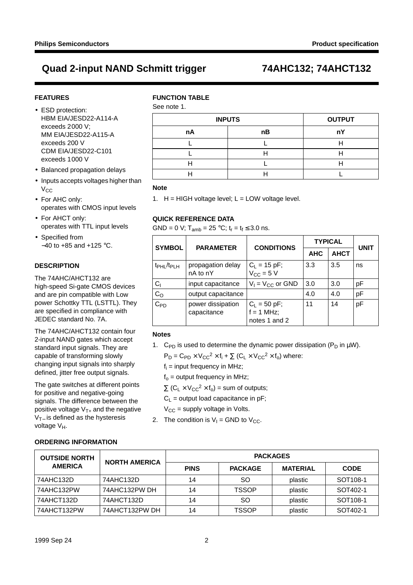#### **FEATURES**

- ESD protection: HBM EIA/JESD22-A114-A exceeds 2000 V; MM EIA/JESD22-A115-A exceeds 200 V CDM EIA/JESD22-C101 exceeds 1000 V
- Balanced propagation delays
- Inputs accepts voltages higher than  $V_{CC}$
- For AHC only: operates with CMOS input levels
- For AHCT only: operates with TTL input levels
- Specified from −40 to +85 and +125 °C.

#### **DESCRIPTION**

The 74AHC/AHCT132 are high-speed Si-gate CMOS devices and are pin compatible with Low power Schottky TTL (LSTTL). They are specified in compliance with JEDEC standard No. 7A.

The 74AHC/AHCT132 contain four 2-input NAND gates which accept standard input signals. They are capable of transforming slowly changing input signals into sharply defined, jitter free output signals.

The gate switches at different points for positive and negative-going signals. The difference between the positive voltage  $V_{T+}$  and the negative  $V<sub>T−</sub>$  is defined as the hysteresis voltage V<sub>H</sub>.

### **FUNCTION TABLE**

See note 1.

| _ _ _ _ _     |               |    |
|---------------|---------------|----|
| <b>INPUTS</b> | <b>OUTPUT</b> |    |
| nA            | nВ            | nY |
|               |               |    |
|               |               |    |
|               |               |    |
|               |               |    |

#### **Note**

1.  $H = HIGH$  voltage level;  $L = LOW$  voltage level.

### **QUICK REFERENCE DATA**

GND = 0 V; T<sub>amb</sub> = 25 °C;  $t_r = t_f \le 3.0$  ns.

| <b>SYMBOL</b>                      | <b>PARAMETER</b>                 | <b>CONDITIONS</b>                                        | <b>TYPICAL</b> | <b>UNIT</b> |    |  |
|------------------------------------|----------------------------------|----------------------------------------------------------|----------------|-------------|----|--|
|                                    |                                  |                                                          | <b>AHC</b>     | <b>AHCT</b> |    |  |
| t <sub>PHL</sub> /t <sub>PLH</sub> | propagation delay<br>nA to nY    | $ C_L = 15 pF;$<br>$V_{CC} = 5 V$                        | 3.3            | 3.5         | ns |  |
| $C_{1}$                            | input capacitance                | $V_1 = V_{CC}$ or GND                                    | 3.0            | 3.0         | рF |  |
| C <sub>O</sub>                     | output capacitance               |                                                          | 4.0            | 4.0         | pF |  |
| $C_{PD}$                           | power dissipation<br>capacitance | $C_L = 50 \text{ pF}$ ;<br>$f = 1$ MHz;<br>notes 1 and 2 | 11             | 14          | pF |  |

### **Notes**

1. C<sub>PD</sub> is used to determine the dynamic power dissipation (P<sub>D</sub> in  $\mu$ W).

 $P_D = C_{PD} \times V_{CC}^2 \times f_i + \sum (C_L \times V_{CC}^2 \times f_0)$  where:

 $f_i$  = input frequency in MHz;

 $f_0$  = output frequency in MHz;

 $\Sigma$  (C<sub>L</sub> × V<sub>CC</sub><sup>2</sup> × f<sub>o</sub>) = sum of outputs;

 $C_1$  = output load capacitance in pF;

 $V_{CC}$  = supply voltage in Volts.

2. The condition is  $V_1 = GND$  to  $V_{CC}$ .

| <b>OUTSIDE NORTH</b> | <b>NORTH AMERICA</b> | <b>PACKAGES</b> |                |                 |                      |  |  |  |  |  |
|----------------------|----------------------|-----------------|----------------|-----------------|----------------------|--|--|--|--|--|
| <b>AMERICA</b>       |                      | <b>PINS</b>     | <b>PACKAGE</b> | <b>MATERIAL</b> | <b>CODE</b>          |  |  |  |  |  |
| 74AHC132D            | 74AHC132D            | 14              | <sub>SO</sub>  | plastic         | SOT <sub>108-1</sub> |  |  |  |  |  |
| 74AHC132PW           | 74AHC132PW DH        | 14              | <b>TSSOP</b>   | plastic         | SOT402-1             |  |  |  |  |  |
| 74AHCT132D           | 74AHCT132D           | 14              | <b>SO</b>      | plastic         | SOT <sub>108-1</sub> |  |  |  |  |  |
| 74AHCT132PW          | 74AHCT132PW DH       | 14              | <b>TSSOP</b>   | plastic         | SOT402-1             |  |  |  |  |  |

### **ORDERING INFORMATION**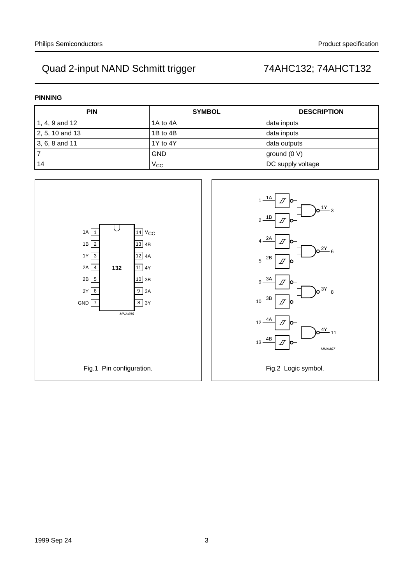#### **PINNING**

| <b>PIN</b>         | <b>SYMBOL</b> | <b>DESCRIPTION</b> |
|--------------------|---------------|--------------------|
| $'$ 1, 4, 9 and 12 | 1A to 4A      | data inputs        |
| $2, 5, 10$ and 13  | 1B to 4B      | data inputs        |
| 3, 6, 8 and 11     | 1Y to 4Y      | data outputs       |
|                    | <b>GND</b>    | ground $(0 V)$     |
| 14                 | $V_{\rm CC}$  | DC supply voltage  |

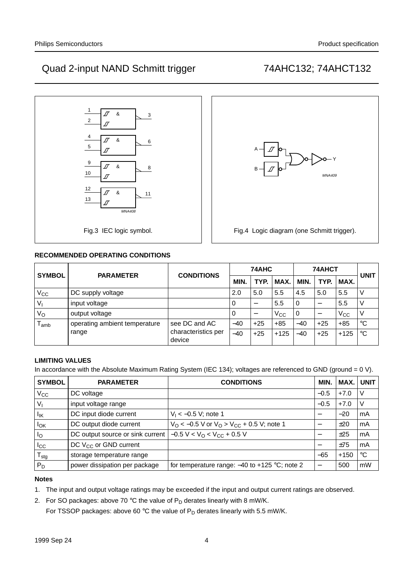MNA409

Y

Fig.4 Logic diagram (one Schmitt trigger).



### **RECOMMENDED OPERATING CONDITIONS**

| <b>SYMBOL</b> | <b>PARAMETER</b>              | <b>CONDITIONS</b>             |            | 74AHC |              | 74AHCT | <b>UNIT</b> |          |                 |
|---------------|-------------------------------|-------------------------------|------------|-------|--------------|--------|-------------|----------|-----------------|
|               |                               |                               | <b>MIN</b> | TYP.  | MAX.         | MIN.   | TYP.        | MAX.     |                 |
| $V_{\rm CC}$  | DC supply voltage             |                               | 2.0        | 5.0   | 5.5          | 4.5    | 5.0         | 5.5      |                 |
| $V_{I}$       | input voltage                 |                               | O          |       | 5.5          | 0      |             | 5.5      |                 |
| $V_{\rm O}$   | output voltage                |                               | 0          |       | $V_{\rm CC}$ | 0      |             | $V_{CC}$ |                 |
| amb           | operating ambient temperature | see DC and AC                 | $-40$      | $+25$ | $+85$        | $-40$  | $+25$       | $+85$    | $\rm ^{\circ}C$ |
|               | range                         | characteristics per<br>device | $-40$      | $+25$ | $+125$       | $-40$  | $+25$       | $+125$   | $^{\circ}C$     |

handbook, halfpage <sup>A</sup>

B

### **LIMITING VALUES**

In accordance with the Absolute Maximum Rating System (IEC 134); voltages are referenced to GND (ground = 0 V).

| <b>SYMBOL</b>          | <b>PARAMETER</b>                  | <b>CONDITIONS</b>                                 | MIN.                     | MAX.   | <b>UNIT</b> |
|------------------------|-----------------------------------|---------------------------------------------------|--------------------------|--------|-------------|
| $V_{CC}$               | DC voltage                        |                                                   | $-0.5$                   | $+7.0$ |             |
| $V_{1}$                | input voltage range               |                                                   | $-0.5$                   | $+7.0$ |             |
| $I_{IK}$               | DC input diode current            | $V_1 < -0.5$ V; note 1                            |                          | $-20$  | mA          |
| <b>I</b> <sub>OK</sub> | DC output diode current           | $V_O < -0.5$ V or $V_O > V_{CC} + 0.5$ V; note 1  |                          | ±20    | mA          |
| $I_{\rm O}$            | DC output source or sink current  | $-0.5 V < VO < VCC + 0.5 V$                       |                          | ±25    | mA          |
| $_{\rm{lcc}}$          | DC V <sub>CC</sub> or GND current |                                                   |                          | ±75    | mA          |
| $T_{\text{stg}}$       | storage temperature range         |                                                   | $-65$                    | $+150$ | $^{\circ}C$ |
| $P_D$                  | power dissipation per package     | for temperature range: $-40$ to $+125$ °C; note 2 | $\overline{\phantom{m}}$ | 500    | mW          |

#### **Notes**

1. The input and output voltage ratings may be exceeded if the input and output current ratings are observed.

2. For SO packages: above 70 °C the value of  $P_D$  derates linearly with 8 mW/K.

For TSSOP packages: above 60 °C the value of  $P_D$  derates linearly with 5.5 mW/K.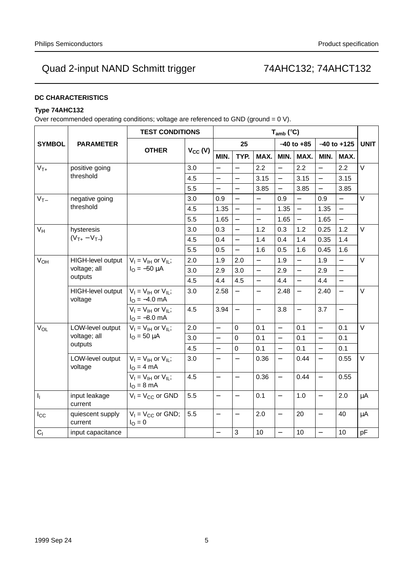### **DC CHARACTERISTICS**

### **Type 74AHC132**

Over recommended operating conditions; voltage are referenced to GND (ground = 0 V).

|                                                                                          |                                                | <b>TEST CONDITIONS</b>                                           |                          |                          |                          |                          | $T_{amb}$ (°C)           |                          |                          |                   |             |
|------------------------------------------------------------------------------------------|------------------------------------------------|------------------------------------------------------------------|--------------------------|--------------------------|--------------------------|--------------------------|--------------------------|--------------------------|--------------------------|-------------------|-------------|
| <b>SYMBOL</b>                                                                            | <b>PARAMETER</b>                               |                                                                  |                          |                          | 25                       |                          |                          | $-40$ to $+85$           |                          | $-40$ to $+125$   | <b>UNIT</b> |
|                                                                                          |                                                | <b>OTHER</b>                                                     | $V_{CC} (V)$             | MIN.                     | TYP.                     | MAX.                     | MIN.                     | MAX.                     | MIN.                     | MAX.              |             |
| $V_{T+}$                                                                                 | positive going                                 |                                                                  | 3.0                      | $\overline{\phantom{0}}$ | $\overline{\phantom{0}}$ | 2.2                      | $\equiv$                 | 2.2                      | $\overline{\phantom{0}}$ | 2.2               | $\vee$      |
|                                                                                          | threshold                                      |                                                                  | 4.5                      | $\equiv$                 |                          | 3.15                     | $\overline{a}$           | 3.15                     | $\equiv$                 | 3.15              |             |
|                                                                                          |                                                | 5.5                                                              | $\overline{\phantom{0}}$ | $\overline{a}$           | 3.85                     | $\overline{\phantom{0}}$ | 3.85                     | $\overline{\phantom{0}}$ | 3.85                     |                   |             |
| $V_{T-}$                                                                                 | negative going                                 |                                                                  | 3.0                      | 0.9                      | $\overline{a}$           | $\overline{\phantom{0}}$ | 0.9                      | $\equiv$                 | 0.9                      |                   | $\vee$      |
|                                                                                          | threshold                                      |                                                                  | 4.5                      | 1.35                     | $\overline{\phantom{0}}$ | $\equiv$                 | 1.35                     | $\equiv$                 | 1.35                     | $\equiv$          |             |
|                                                                                          |                                                |                                                                  | 5.5                      | 1.65                     | $\overline{\phantom{0}}$ | $\equiv$                 | 1.65                     | $\equiv$                 | 1.65                     | $\equiv$          |             |
| $\mathsf{V}_{\mathsf{H}}$                                                                | hysteresis                                     |                                                                  | 3.0                      | 0.3                      | $\overline{\phantom{0}}$ | 1.2                      | 0.3                      | 1.2                      | 0.25                     | 1.2               | $\vee$      |
| $(V_{T+} - V_{T-})$                                                                      |                                                | 4.5                                                              | 0.4                      | $\frac{1}{2}$            | 1.4                      | 0.4                      | 1.4                      | 0.35                     | 1.4                      |                   |             |
|                                                                                          |                                                | 5.5                                                              | 0.5                      | $\frac{1}{2}$            | 1.6                      | 0.5                      | 1.6                      | 0.45                     | 1.6                      |                   |             |
| $V_{OH}$<br>HIGH-level output<br>voltage; all<br>outputs<br>HIGH-level output<br>voltage | $V_1 = V_{1H}$ or $V_{1L}$ ;                   | 2.0                                                              | 1.9                      | 2.0                      | $\overline{\phantom{0}}$ | 1.9                      | $\overline{\phantom{0}}$ | 1.9                      | $\overline{\phantom{0}}$ | $\vee$            |             |
|                                                                                          | $I_{\text{O}} = -50 \mu A$                     | 3.0                                                              | 2.9                      | 3.0                      | $\equiv$                 | 2.9                      | $\overline{a}$           | 2.9                      | $\overline{a}$           |                   |             |
|                                                                                          |                                                |                                                                  | 4.5                      | 4.4                      | 4.5                      | $\overline{\phantom{0}}$ | 4.4                      | $\overline{\phantom{0}}$ | 4.4                      | $\qquad \qquad -$ |             |
|                                                                                          | $V_1 = V_{1H}$ or $V_{1I}$ ;<br>$IO = -4.0$ mA | 3.0                                                              | 2.58                     | $\overline{\phantom{0}}$ |                          | 2.48                     | $\equiv$                 | 2.40                     |                          | $\vee$            |             |
|                                                                                          |                                                | $V_I = V_{IH}$ or $V_{II}$ ;<br>$I_{\text{O}} = -8.0 \text{ mA}$ | 4.5                      | 3.94                     | $\equiv$                 | $\overline{\phantom{0}}$ | 3.8                      | $\overline{\phantom{0}}$ | 3.7                      | $\qquad \qquad -$ |             |
| $V_{OL}$                                                                                 | LOW-level output                               | $V_I = V_{IH}$ or $V_{IL}$ ;                                     | 2.0                      | $\overline{\phantom{0}}$ | $\mathbf 0$              | 0.1                      | $\overline{a}$           | 0.1                      | $\overline{a}$           | 0.1               | $\vee$      |
|                                                                                          | voltage; all                                   | $I_{\text{O}} = 50 \mu A$                                        | 3.0                      | $\equiv$                 | $\mathbf 0$              | 0.1                      | $\overline{a}$           | 0.1                      | $\overline{a}$           | 0.1               |             |
|                                                                                          | outputs                                        |                                                                  | 4.5                      | $\equiv$                 | $\mathbf 0$              | 0.1                      | $\overline{\phantom{0}}$ | 0.1                      | $\overline{\phantom{0}}$ | 0.1               |             |
|                                                                                          | LOW-level output<br>voltage                    | $V_I = V_{IH}$ or $V_{IL}$ ;<br>$IO = 4 mA$                      | 3.0                      | $\equiv$                 | $\overline{\phantom{0}}$ | 0.36                     | $\overline{\phantom{0}}$ | 0.44                     | $\overline{\phantom{0}}$ | 0.55              | $\vee$      |
|                                                                                          |                                                | $V_I = V_{IH}$ or $V_{IL}$ ;<br>$IO = 8 mA$                      | 4.5                      | $\overline{\phantom{0}}$ | $\equiv$                 | 0.36                     | $\equiv$                 | 0.44                     | $\overline{\phantom{0}}$ | 0.55              |             |
| $I_{\rm L}$                                                                              | input leakage<br>current                       | $V_1 = V_{CC}$ or GND                                            | 5.5                      | $\overline{\phantom{0}}$ | $\overline{a}$           | 0.1                      | $\overline{\phantom{0}}$ | 1.0                      | $\overline{a}$           | 2.0               | $\mu$ A     |
| $I_{\rm CC}$                                                                             | quiescent supply<br>current                    | $V_1 = V_{CC}$ or GND;<br>$I_{\rm O} = 0$                        | 5.5                      | $\overline{\phantom{0}}$ | $\qquad \qquad -$        | 2.0                      | $\overline{\phantom{0}}$ | 20                       | $\overline{\phantom{0}}$ | 40                | $\mu A$     |
| C <sub>1</sub>                                                                           | input capacitance                              |                                                                  |                          | $\qquad \qquad -$        | 3                        | 10                       | $\overline{\phantom{0}}$ | 10                       |                          | 10                | pF          |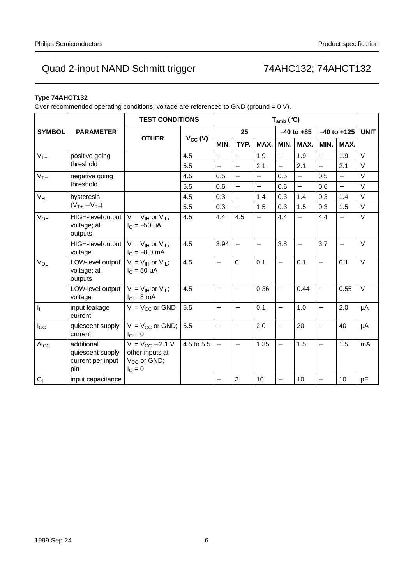### **Type 74AHCT132**

Over recommended operating conditions; voltage are referenced to GND (ground = 0 V).

|                        |                                                                                          | <b>TEST CONDITIONS</b>                                                                   |              | $T_{amb}$ (°C)           |                          |                          |                          |                          |                          |                          |             |
|------------------------|------------------------------------------------------------------------------------------|------------------------------------------------------------------------------------------|--------------|--------------------------|--------------------------|--------------------------|--------------------------|--------------------------|--------------------------|--------------------------|-------------|
| <b>SYMBOL</b>          | <b>PARAMETER</b>                                                                         |                                                                                          |              | 25                       |                          |                          |                          | $-40$ to $+85$           | $-40$ to $+125$          |                          | <b>UNIT</b> |
|                        |                                                                                          | <b>OTHER</b>                                                                             | $V_{CC} (V)$ | MIN.                     | TYP.                     | MAX.                     | MIN.                     | MAX.                     | MIN.                     | MAX.                     |             |
| $V_{T+}$               | positive going                                                                           |                                                                                          | 4.5          | $\equiv$                 | $\equiv$                 | 1.9                      | $\equiv$                 | 1.9                      | $\equiv$                 | 1.9                      | V           |
|                        | threshold                                                                                |                                                                                          | 5.5          | $\overline{\phantom{0}}$ | $\equiv$                 | 2.1                      | $\equiv$                 | 2.1                      | $\overline{\phantom{0}}$ | 2.1                      | V           |
| $V_{T-}$               | negative going                                                                           |                                                                                          | 4.5          | 0.5                      | $\qquad \qquad -$        | $\qquad \qquad -$        | 0.5                      | $\overline{\phantom{0}}$ | 0.5                      | $\qquad \qquad -$        | V           |
|                        | threshold                                                                                |                                                                                          | 5.5          | 0.6                      | $\overline{\phantom{0}}$ | $\overline{\phantom{0}}$ | 0.6                      | $\overline{\phantom{0}}$ | 0.6                      |                          | $\vee$      |
| $V_H$                  | hysteresis                                                                               |                                                                                          | 4.5          | 0.3                      | $\overline{\phantom{0}}$ | 1.4                      | 0.3                      | 1.4                      | 0.3                      | 1.4                      | $\vee$      |
|                        | $(V_{T+} - V_{T-})$                                                                      |                                                                                          | 5.5          | 0.3                      | $\overline{\phantom{0}}$ | 1.5                      | 0.3                      | 1.5                      | 0.3                      | 1.5                      | $\vee$      |
| $V_{OH}$               | HIGH-level output $ V_1 = V_{\text{IH}}$ or $V_{\text{IL}}$ ;<br>voltage; all<br>outputs | $I_{\Omega} = -50 \mu A$                                                                 | 4.5          | 4.4                      | 4.5                      | $\overline{\phantom{0}}$ | 4.4                      | $\overline{\phantom{0}}$ | 4.4                      | $\overline{\phantom{0}}$ | $\vee$      |
|                        | HIGH-level output $ V_1 = V_{1H}$ or $V_{1I}$ ;<br>voltage                               | $I_{\rm O} = -8.0$ mA                                                                    | 4.5          | 3.94                     | $\equiv$                 | $\overline{\phantom{0}}$ | 3.8                      | $\overline{\phantom{0}}$ | 3.7                      | $\overline{\phantom{0}}$ | $\vee$      |
| $V_{OL}$               | LOW-level output $ V_1 = V_{1H}$ or $V_{1L}$ ;<br>voltage; all<br>outputs                | $I_{\text{O}} = 50 \mu A$                                                                | 4.5          | $\overline{\phantom{0}}$ | $\overline{0}$           | 0.1                      | $\overline{\phantom{0}}$ | 0.1                      | $\overline{\phantom{0}}$ | 0.1                      | $\vee$      |
|                        | LOW-level output $ V_1 = V_{1H}$ or $V_{1I}$ ;<br>voltage                                | $IO = 8 mA$                                                                              | 4.5          | $\equiv$                 | $\equiv$                 | 0.36                     | $\equiv$                 | 0.44                     | $\overline{\phantom{0}}$ | 0.55                     | $\vee$      |
| $I_1$                  | input leakage<br>current                                                                 | $V_1 = V_{CC}$ or GND                                                                    | 5.5          | $\overline{\phantom{0}}$ | $\overline{\phantom{0}}$ | 0.1                      | $\overline{\phantom{0}}$ | 1.0                      | $\overline{\phantom{0}}$ | 2.0                      | μA          |
| $I_{\rm CC}$           | quiescent supply<br>current                                                              | $V_1 = V_{CC}$ or GND;  <br>$I_{\rm O} = 0$                                              | 5.5          | $\overline{\phantom{0}}$ | $\equiv$                 | 2.0                      | $\overline{a}$           | 20                       | $\overline{\phantom{0}}$ | 40                       | μA          |
| $\Delta$ <sub>cc</sub> | additional<br>quiescent supply<br>current per input<br>pin                               | $V_1 = V_{CC} - 2.1 V$<br>other inputs at<br>V <sub>CC</sub> or GND;<br>$I_{\Omega} = 0$ | 4.5 to 5.5   | $\qquad \qquad -$        | $\qquad \qquad -$        | 1.35                     | $\qquad \qquad -$        | 1.5                      | $\overline{\phantom{0}}$ | 1.5                      | mA          |
| C <sub>1</sub>         | input capacitance                                                                        |                                                                                          |              |                          | 3                        | 10                       | $\overline{\phantom{0}}$ | 10                       | $\overline{\phantom{0}}$ | 10                       | pF          |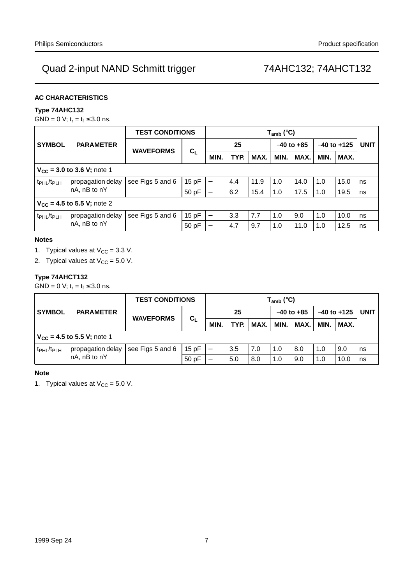#### **AC CHARACTERISTICS**

### **Type 74AHC132**

GND = 0 V;  $t_r = t_f \le 3.0$  ns.

|                                                         |                   | <b>TEST CONDITIONS</b> | $T_{amb}$ (°C)           |                          |      |      |      |                |      |                 |    |
|---------------------------------------------------------|-------------------|------------------------|--------------------------|--------------------------|------|------|------|----------------|------|-----------------|----|
| <b>SYMBOL</b>                                           | <b>PARAMETER</b>  | <b>WAVEFORMS</b>       | $C_L$                    |                          | 25   |      |      | $-40$ to $+85$ |      | $-40$ to $+125$ |    |
|                                                         |                   |                        |                          | <b>MIN</b>               | TYP. | MAX. | MIN. | MAX.           | MIN. | MAX.            |    |
| $V_{CC}$ = 3.0 to 3.6 V; note 1                         |                   |                        |                          |                          |      |      |      |                |      |                 |    |
| t <sub>PHL</sub> /t <sub>PLH</sub>                      | propagation delay | see Figs 5 and 6       | 15pF                     | $\overline{\phantom{m}}$ | 4.4  | 11.9 | 1.0  | 14.0           | 1.0  | 15.0            | ns |
|                                                         | nA, nB to nY      |                        | 50 pF                    | $\overline{\phantom{m}}$ | 6.2  | 15.4 | 1.0  | 17.5           | 1.0  | 19.5            | ns |
| $V_{CC}$ = 4.5 to 5.5 V; note 2                         |                   |                        |                          |                          |      |      |      |                |      |                 |    |
| propagation delay<br>t <sub>PHL</sub> /t <sub>PLH</sub> | see Figs 5 and 6  | 15pF                   | $\overline{\phantom{0}}$ | 3.3                      | 7.7  | 1.0  | 9.0  | 1.0            | 10.0 | ns              |    |
|                                                         | nA, nB to nY      |                        | 50 pF                    | —                        | 4.7  | 9.7  | 1.0  | 11.0           | 1.0  | 12.5            | ns |

#### **Notes**

- 1. Typical values at  $V_{CC} = 3.3$  V.
- 2. Typical values at  $V_{CC} = 5.0 V$ .

### **Type 74AHCT132**

 $GND = 0$  V;  $t_r = t_f \leq 3.0$  ns.

|                                    |                                 | <b>TEST CONDITIONS</b> |       | $T_{amb}$ (°C) |      |      |                |      |                 |      |             |
|------------------------------------|---------------------------------|------------------------|-------|----------------|------|------|----------------|------|-----------------|------|-------------|
| <b>SYMBOL</b>                      | <b>PARAMETER</b>                | <b>WAVEFORMS</b>       |       |                | 25   |      | $-40$ to $+85$ |      | $-40$ to $+125$ |      | <b>UNIT</b> |
|                                    |                                 | $C_L$                  | MIN.  | TYP.           | MAX. | MIN. | MAX.           | MIN. | MAX.            |      |             |
|                                    | $V_{CC}$ = 4.5 to 5.5 V; note 1 |                        |       |                |      |      |                |      |                 |      |             |
| t <sub>PHL</sub> /t <sub>PLH</sub> | propagation delay               | see Figs 5 and 6       | 15pF  |                | 3.5  | 7.0  | 1.0            | 8.0  | 1.0             | 9.0  | ns          |
|                                    | nA, nB to nY                    |                        | 50 pF |                | 5.0  | 8.0  | 1.0            | 9.0  | 1.0             | 10.0 | ns          |

#### **Note**

1. Typical values at  $V_{CC} = 5.0 V$ .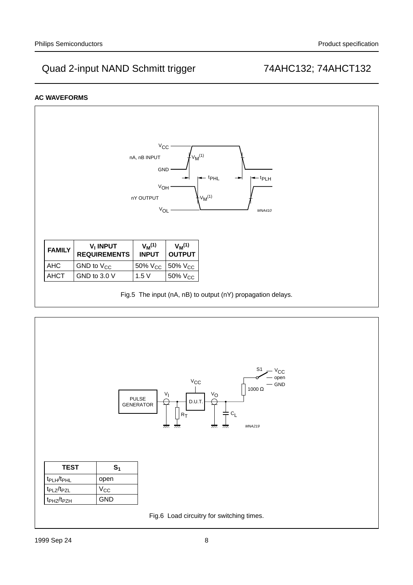### **AC WAVEFORMS**



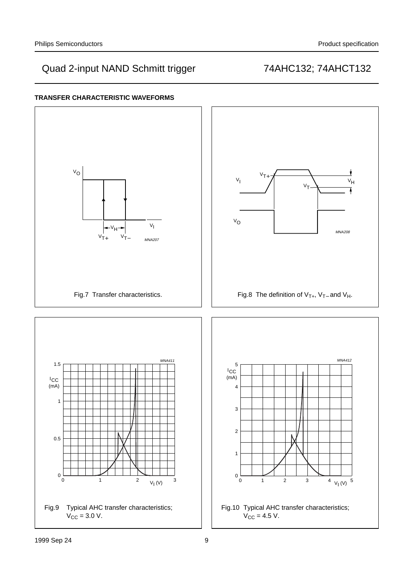

### **TRANSFER CHARACTERISTIC WAVEFORMS**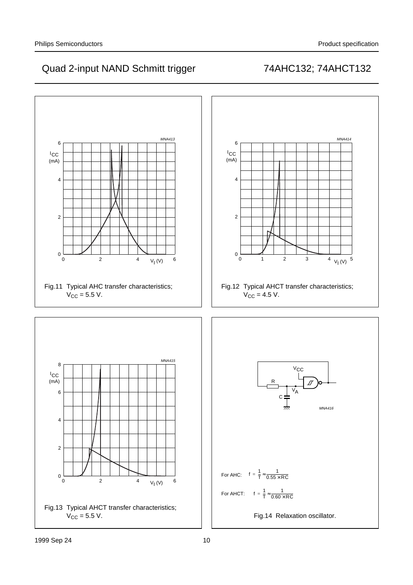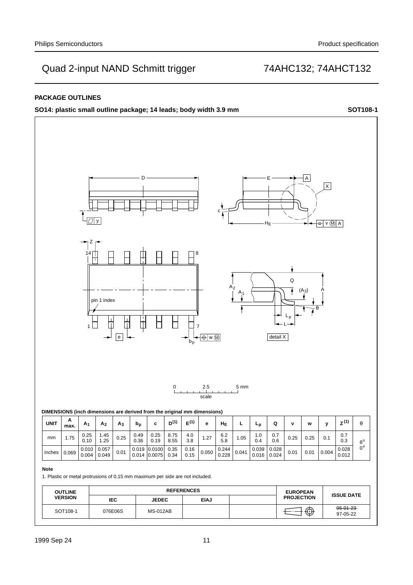### **PACKAGE OUTLINES**

**SO14: plastic small outline package; 14 leads; body width 3.9 mm SOT108-1**

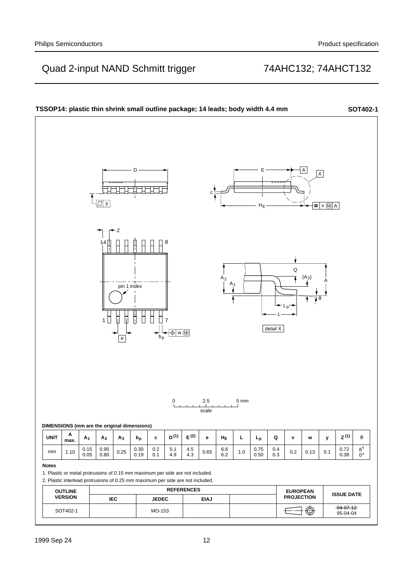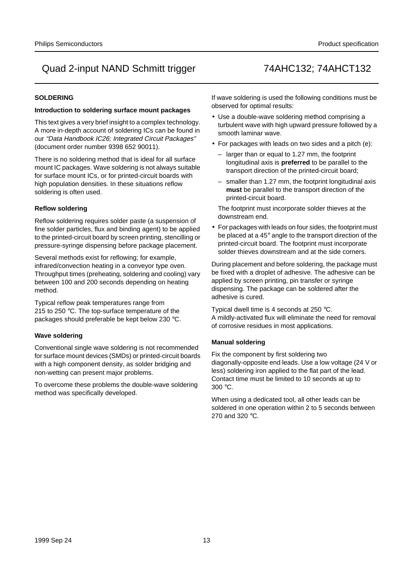#### **SOLDERING**

#### **Introduction to soldering surface mount packages**

This text gives a very brief insight to a complex technology. A more in-depth account of soldering ICs can be found in our "Data Handbook IC26; Integrated Circuit Packages" (document order number 9398 652 90011).

There is no soldering method that is ideal for all surface mount IC packages. Wave soldering is not always suitable for surface mount ICs, or for printed-circuit boards with high population densities. In these situations reflow soldering is often used.

#### **Reflow soldering**

Reflow soldering requires solder paste (a suspension of fine solder particles, flux and binding agent) to be applied to the printed-circuit board by screen printing, stencilling or pressure-syringe dispensing before package placement.

Several methods exist for reflowing; for example, infrared/convection heating in a conveyor type oven. Throughput times (preheating, soldering and cooling) vary between 100 and 200 seconds depending on heating method.

Typical reflow peak temperatures range from 215 to 250 °C. The top-surface temperature of the packages should preferable be kept below 230 °C.

### **Wave soldering**

Conventional single wave soldering is not recommended for surface mount devices (SMDs) or printed-circuit boards with a high component density, as solder bridging and non-wetting can present major problems.

To overcome these problems the double-wave soldering method was specifically developed.

If wave soldering is used the following conditions must be observed for optimal results:

- Use a double-wave soldering method comprising a turbulent wave with high upward pressure followed by a smooth laminar wave.
- For packages with leads on two sides and a pitch (e):
	- larger than or equal to 1.27 mm, the footprint longitudinal axis is **preferred** to be parallel to the transport direction of the printed-circuit board;
	- smaller than 1.27 mm, the footprint longitudinal axis **must** be parallel to the transport direction of the printed-circuit board.

The footprint must incorporate solder thieves at the downstream end.

• For packages with leads on four sides, the footprint must be placed at a 45° angle to the transport direction of the printed-circuit board. The footprint must incorporate solder thieves downstream and at the side corners.

During placement and before soldering, the package must be fixed with a droplet of adhesive. The adhesive can be applied by screen printing, pin transfer or syringe dispensing. The package can be soldered after the adhesive is cured.

Typical dwell time is 4 seconds at 250 °C. A mildly-activated flux will eliminate the need for removal of corrosive residues in most applications.

### **Manual soldering**

Fix the component by first soldering two diagonally-opposite end leads. Use a low voltage (24 V or less) soldering iron applied to the flat part of the lead. Contact time must be limited to 10 seconds at up to 300 °C.

When using a dedicated tool, all other leads can be soldered in one operation within 2 to 5 seconds between 270 and 320 °C.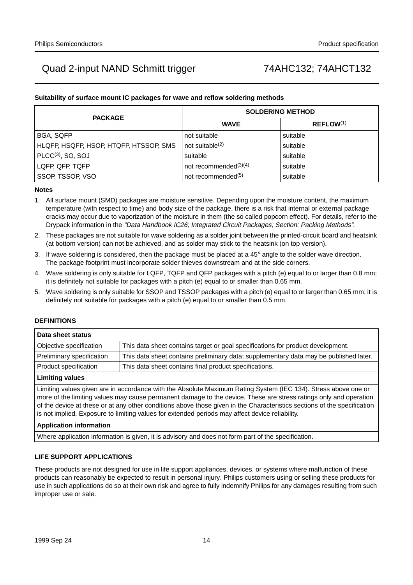#### **Suitability of surface mount IC packages for wave and reflow soldering methods**

| <b>PACKAGE</b>                         | <b>SOLDERING METHOD</b>        |                       |  |  |  |  |  |
|----------------------------------------|--------------------------------|-----------------------|--|--|--|--|--|
|                                        | <b>WAVE</b>                    | REFLOW <sup>(1)</sup> |  |  |  |  |  |
| <b>BGA, SQFP</b>                       | not suitable                   | suitable              |  |  |  |  |  |
| HLQFP, HSQFP, HSOP, HTQFP, HTSSOP, SMS | not suitable $(2)$             | suitable              |  |  |  |  |  |
| $PLCC(3)$ , SO, SOJ                    | suitable                       | suitable              |  |  |  |  |  |
| LQFP, QFP, TQFP                        | not recommended $(3)(4)$       | suitable              |  |  |  |  |  |
| SSOP, TSSOP, VSO                       | not recommended <sup>(5)</sup> | suitable              |  |  |  |  |  |

#### **Notes**

- 1. All surface mount (SMD) packages are moisture sensitive. Depending upon the moisture content, the maximum temperature (with respect to time) and body size of the package, there is a risk that internal or external package cracks may occur due to vaporization of the moisture in them (the so called popcorn effect). For details, refer to the Drypack information in the "Data Handbook IC26; Integrated Circuit Packages; Section: Packing Methods".
- 2. These packages are not suitable for wave soldering as a solder joint between the printed-circuit board and heatsink (at bottom version) can not be achieved, and as solder may stick to the heatsink (on top version).
- 3. If wave soldering is considered, then the package must be placed at a  $45^\circ$  angle to the solder wave direction. The package footprint must incorporate solder thieves downstream and at the side corners.
- 4. Wave soldering is only suitable for LQFP, TQFP and QFP packages with a pitch (e) equal to or larger than 0.8 mm; it is definitely not suitable for packages with a pitch (e) equal to or smaller than 0.65 mm.
- 5. Wave soldering is only suitable for SSOP and TSSOP packages with a pitch (e) equal to or larger than 0.65 mm; it is definitely not suitable for packages with a pitch (e) equal to or smaller than 0.5 mm.

#### **DEFINITIONS**

| Data sheet status                                                                                              |                                                                                       |  |  |  |  |
|----------------------------------------------------------------------------------------------------------------|---------------------------------------------------------------------------------------|--|--|--|--|
| Objective specification                                                                                        | This data sheet contains target or goal specifications for product development.       |  |  |  |  |
| Preliminary specification                                                                                      | This data sheet contains preliminary data; supplementary data may be published later. |  |  |  |  |
| Product specification                                                                                          | This data sheet contains final product specifications.                                |  |  |  |  |
| <b>Limiting values</b>                                                                                         |                                                                                       |  |  |  |  |
| Limiting values given are in accordance with the Absolute Maximum Rating System (IEC 134). Stress above one or |                                                                                       |  |  |  |  |

more of the limiting values may cause permanent damage to the device. These are stress ratings only and operation of the device at these or at any other conditions above those given in the Characteristics sections of the specification is not implied. Exposure to limiting values for extended periods may affect device reliability.

#### **Application information**

Where application information is given, it is advisory and does not form part of the specification.

#### **LIFE SUPPORT APPLICATIONS**

These products are not designed for use in life support appliances, devices, or systems where malfunction of these products can reasonably be expected to result in personal injury. Philips customers using or selling these products for use in such applications do so at their own risk and agree to fully indemnify Philips for any damages resulting from such improper use or sale.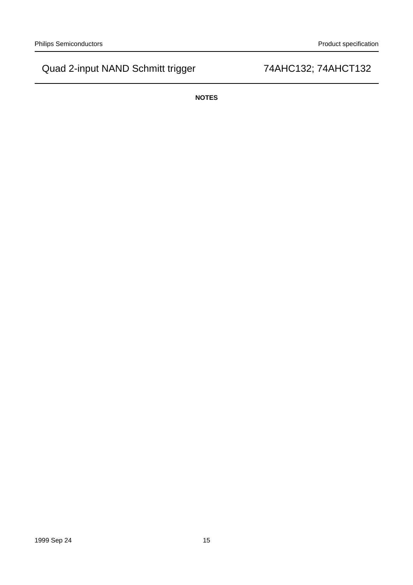**NOTES**